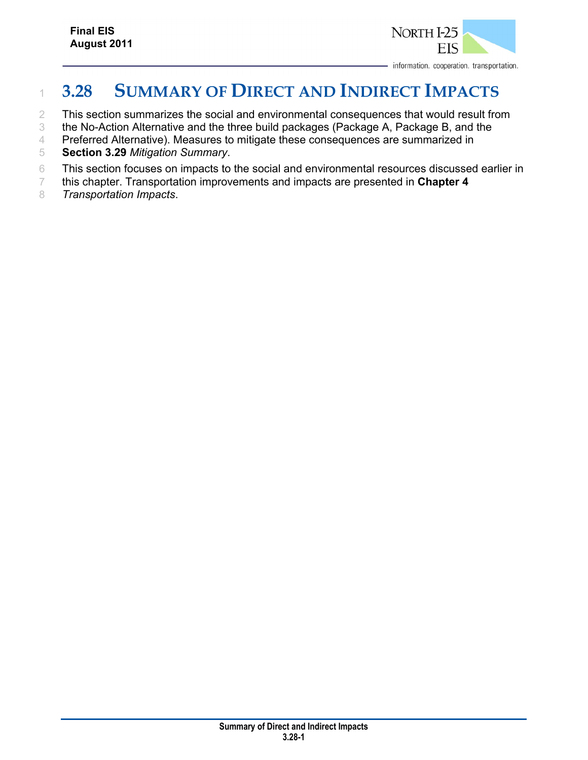

#### information. cooperation. transportation.

# **3.28 SUMMARY OF DIRECT AND INDIRECT IMPACTS**

This section summarizes the social and environmental consequences that would result from

the No-Action Alternative and the three build packages (Package A, Package B, and the

Preferred Alternative). Measures to mitigate these consequences are summarized in

- **Section 3.29** *Mitigation Summary*.
- This section focuses on impacts to the social and environmental resources discussed earlier in
- this chapter. Transportation improvements and impacts are presented in **Chapter 4**
- *Transportation Impacts*.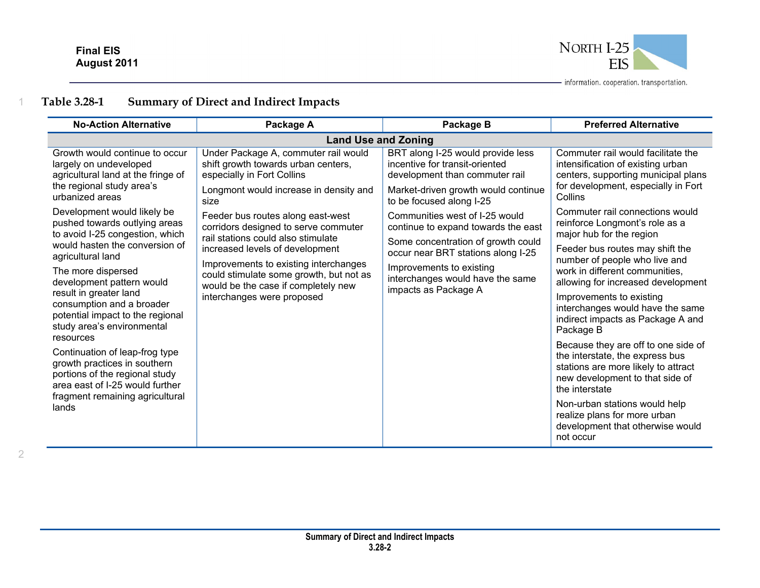2

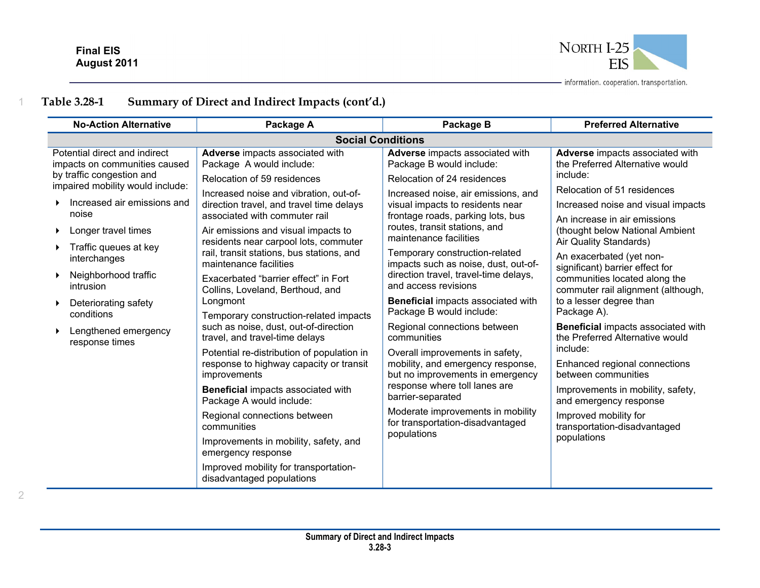

| <b>No-Action Alternative</b>     | Package A                                                                    | Package B                                               | <b>Preferred Alternative</b>                                                              |  |  |
|----------------------------------|------------------------------------------------------------------------------|---------------------------------------------------------|-------------------------------------------------------------------------------------------|--|--|
| <b>Social Conditions</b>         |                                                                              |                                                         |                                                                                           |  |  |
| Potential direct and indirect    | Adverse impacts associated with                                              | Adverse impacts associated with                         | Adverse impacts associated with                                                           |  |  |
| impacts on communities caused    | Package A would include:                                                     | Package B would include:                                | the Preferred Alternative would                                                           |  |  |
| by traffic congestion and        | Relocation of 59 residences                                                  | Relocation of 24 residences                             | include:                                                                                  |  |  |
| impaired mobility would include: | Increased noise and vibration, out-of-                                       | Increased noise, air emissions, and                     | Relocation of 51 residences                                                               |  |  |
| Increased air emissions and      | direction travel, and travel time delays                                     | visual impacts to residents near                        | Increased noise and visual impacts                                                        |  |  |
| noise                            | associated with commuter rail                                                | frontage roads, parking lots, bus                       |                                                                                           |  |  |
| Longer travel times              | Air emissions and visual impacts to<br>residents near carpool lots, commuter | routes, transit stations, and<br>maintenance facilities | An increase in air emissions<br>(thought below National Ambient<br>Air Quality Standards) |  |  |
| Traffic queues at key            | rail, transit stations, bus stations, and                                    | Temporary construction-related                          | An exacerbated (yet non-                                                                  |  |  |
| interchanges                     | maintenance facilities                                                       | impacts such as noise, dust, out-of-                    | significant) barrier effect for                                                           |  |  |
| Neighborhood traffic             | Exacerbated "barrier effect" in Fort                                         | direction travel, travel-time delays,                   | communities located along the                                                             |  |  |
| intrusion                        | Collins, Loveland, Berthoud, and                                             | and access revisions                                    | commuter rail alignment (although,                                                        |  |  |
| Deteriorating safety             | Longmont                                                                     | <b>Beneficial impacts associated with</b>               | to a lesser degree than                                                                   |  |  |
| conditions                       | Temporary construction-related impacts                                       | Package B would include:                                | Package A).                                                                               |  |  |
| Lengthened emergency             | such as noise, dust, out-of-direction                                        | Regional connections between                            | Beneficial impacts associated with                                                        |  |  |
| response times                   | travel, and travel-time delays                                               | communities                                             | the Preferred Alternative would                                                           |  |  |
|                                  | Potential re-distribution of population in                                   | Overall improvements in safety,                         | include:                                                                                  |  |  |
|                                  | response to highway capacity or transit                                      | mobility, and emergency response,                       | Enhanced regional connections                                                             |  |  |
|                                  | improvements                                                                 | but no improvements in emergency                        | between communities                                                                       |  |  |
|                                  | Beneficial impacts associated with                                           | response where toll lanes are                           | Improvements in mobility, safety,                                                         |  |  |
|                                  | Package A would include:                                                     | barrier-separated                                       | and emergency response                                                                    |  |  |
|                                  | Regional connections between                                                 | Moderate improvements in mobility                       | Improved mobility for                                                                     |  |  |
|                                  | communities                                                                  | for transportation-disadvantaged                        | transportation-disadvantaged                                                              |  |  |
|                                  | Improvements in mobility, safety, and<br>emergency response                  | populations                                             | populations                                                                               |  |  |
|                                  | Improved mobility for transportation-<br>disadvantaged populations           |                                                         |                                                                                           |  |  |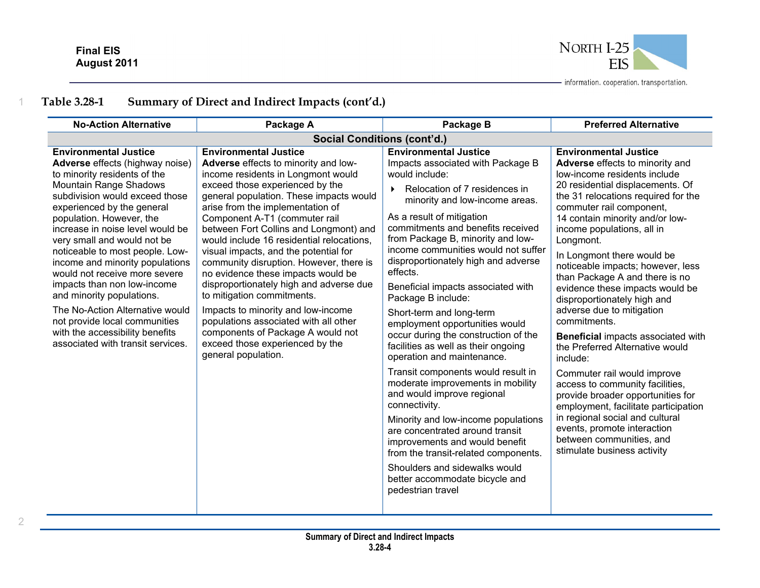

| <b>No-Action Alternative</b>                                                                                                                                                                                                                                                                                                                                                                                                                                                                                                                                                                                   | Package A                                                                                                                                                                                                                                                                                                                                                                                                                                                                                                                                                                                                                                                                                                                             | Package B                                                                                                                                                                                                                                                                                                                                                                                                                                                                                                                                                                                                                                                                                                                                                                                                                                                                                                                                                            | <b>Preferred Alternative</b>                                                                                                                                                                                                                                                                                                                                                                                                                                                                                                                                                                                                                                                                                                                                                                                                                                                     |
|----------------------------------------------------------------------------------------------------------------------------------------------------------------------------------------------------------------------------------------------------------------------------------------------------------------------------------------------------------------------------------------------------------------------------------------------------------------------------------------------------------------------------------------------------------------------------------------------------------------|---------------------------------------------------------------------------------------------------------------------------------------------------------------------------------------------------------------------------------------------------------------------------------------------------------------------------------------------------------------------------------------------------------------------------------------------------------------------------------------------------------------------------------------------------------------------------------------------------------------------------------------------------------------------------------------------------------------------------------------|----------------------------------------------------------------------------------------------------------------------------------------------------------------------------------------------------------------------------------------------------------------------------------------------------------------------------------------------------------------------------------------------------------------------------------------------------------------------------------------------------------------------------------------------------------------------------------------------------------------------------------------------------------------------------------------------------------------------------------------------------------------------------------------------------------------------------------------------------------------------------------------------------------------------------------------------------------------------|----------------------------------------------------------------------------------------------------------------------------------------------------------------------------------------------------------------------------------------------------------------------------------------------------------------------------------------------------------------------------------------------------------------------------------------------------------------------------------------------------------------------------------------------------------------------------------------------------------------------------------------------------------------------------------------------------------------------------------------------------------------------------------------------------------------------------------------------------------------------------------|
|                                                                                                                                                                                                                                                                                                                                                                                                                                                                                                                                                                                                                | <b>Social Conditions (cont'd.)</b>                                                                                                                                                                                                                                                                                                                                                                                                                                                                                                                                                                                                                                                                                                    |                                                                                                                                                                                                                                                                                                                                                                                                                                                                                                                                                                                                                                                                                                                                                                                                                                                                                                                                                                      |                                                                                                                                                                                                                                                                                                                                                                                                                                                                                                                                                                                                                                                                                                                                                                                                                                                                                  |
| <b>Environmental Justice</b><br>Adverse effects (highway noise)<br>to minority residents of the<br><b>Mountain Range Shadows</b><br>subdivision would exceed those<br>experienced by the general<br>population. However, the<br>increase in noise level would be<br>very small and would not be<br>noticeable to most people. Low-<br>income and minority populations<br>would not receive more severe<br>impacts than non low-income<br>and minority populations.<br>The No-Action Alternative would<br>not provide local communities<br>with the accessibility benefits<br>associated with transit services. | <b>Environmental Justice</b><br>Adverse effects to minority and low-<br>income residents in Longmont would<br>exceed those experienced by the<br>general population. These impacts would<br>arise from the implementation of<br>Component A-T1 (commuter rail<br>between Fort Collins and Longmont) and<br>would include 16 residential relocations.<br>visual impacts, and the potential for<br>community disruption. However, there is<br>no evidence these impacts would be<br>disproportionately high and adverse due<br>to mitigation commitments.<br>Impacts to minority and low-income<br>populations associated with all other<br>components of Package A would not<br>exceed those experienced by the<br>general population. | <b>Environmental Justice</b><br>Impacts associated with Package B<br>would include:<br>Relocation of 7 residences in<br>minority and low-income areas.<br>As a result of mitigation<br>commitments and benefits received<br>from Package B, minority and low-<br>income communities would not suffer<br>disproportionately high and adverse<br>effects.<br>Beneficial impacts associated with<br>Package B include:<br>Short-term and long-term<br>employment opportunities would<br>occur during the construction of the<br>facilities as well as their ongoing<br>operation and maintenance.<br>Transit components would result in<br>moderate improvements in mobility<br>and would improve regional<br>connectivity.<br>Minority and low-income populations<br>are concentrated around transit<br>improvements and would benefit<br>from the transit-related components.<br>Shoulders and sidewalks would<br>better accommodate bicycle and<br>pedestrian travel | <b>Environmental Justice</b><br>Adverse effects to minority and<br>low-income residents include<br>20 residential displacements. Of<br>the 31 relocations required for the<br>commuter rail component,<br>14 contain minority and/or low-<br>income populations, all in<br>Longmont.<br>In Longmont there would be<br>noticeable impacts; however, less<br>than Package A and there is no<br>evidence these impacts would be<br>disproportionately high and<br>adverse due to mitigation<br>commitments.<br><b>Beneficial impacts associated with</b><br>the Preferred Alternative would<br>include:<br>Commuter rail would improve<br>access to community facilities,<br>provide broader opportunities for<br>employment, facilitate participation<br>in regional social and cultural<br>events, promote interaction<br>between communities, and<br>stimulate business activity |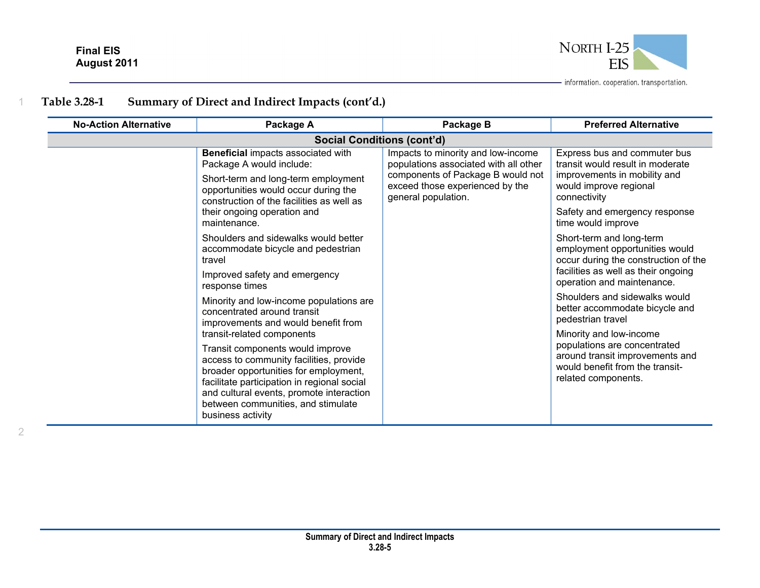

|  | Table 3.28-1 |  | Summary of Direct and Indirect Impacts (cont'd.) |  |  |  |  |
|--|--------------|--|--------------------------------------------------|--|--|--|--|
|--|--------------|--|--------------------------------------------------|--|--|--|--|

| <b>No-Action Alternative</b> | Package A                                                                                                                                                                                                                                                                                                | Package B                                                                                                                                                                  | <b>Preferred Alternative</b>                                                                                                                         |
|------------------------------|----------------------------------------------------------------------------------------------------------------------------------------------------------------------------------------------------------------------------------------------------------------------------------------------------------|----------------------------------------------------------------------------------------------------------------------------------------------------------------------------|------------------------------------------------------------------------------------------------------------------------------------------------------|
|                              | <b>Social Conditions (cont'd)</b>                                                                                                                                                                                                                                                                        |                                                                                                                                                                            |                                                                                                                                                      |
|                              | <b>Beneficial impacts associated with</b><br>Package A would include:                                                                                                                                                                                                                                    | Impacts to minority and low-income<br>populations associated with all other<br>components of Package B would not<br>exceed those experienced by the<br>general population. | Express bus and commuter bus<br>transit would result in moderate                                                                                     |
|                              | Short-term and long-term employment<br>opportunities would occur during the<br>construction of the facilities as well as                                                                                                                                                                                 |                                                                                                                                                                            | improvements in mobility and<br>would improve regional<br>connectivity                                                                               |
|                              | their ongoing operation and<br>maintenance.                                                                                                                                                                                                                                                              | Safety and emergency response<br>time would improve                                                                                                                        |                                                                                                                                                      |
|                              | Shoulders and sidewalks would better<br>accommodate bicycle and pedestrian<br>travel                                                                                                                                                                                                                     |                                                                                                                                                                            | Short-term and long-term<br>employment opportunities would<br>occur during the construction of the                                                   |
|                              | Improved safety and emergency<br>response times                                                                                                                                                                                                                                                          |                                                                                                                                                                            | facilities as well as their ongoing<br>operation and maintenance.                                                                                    |
|                              | Minority and low-income populations are<br>concentrated around transit<br>improvements and would benefit from                                                                                                                                                                                            |                                                                                                                                                                            | Shoulders and sidewalks would<br>better accommodate bicycle and<br>pedestrian travel                                                                 |
|                              | transit-related components<br>Transit components would improve<br>access to community facilities, provide<br>broader opportunities for employment,<br>facilitate participation in regional social<br>and cultural events, promote interaction<br>between communities, and stimulate<br>business activity |                                                                                                                                                                            | Minority and low-income<br>populations are concentrated<br>around transit improvements and<br>would benefit from the transit-<br>related components. |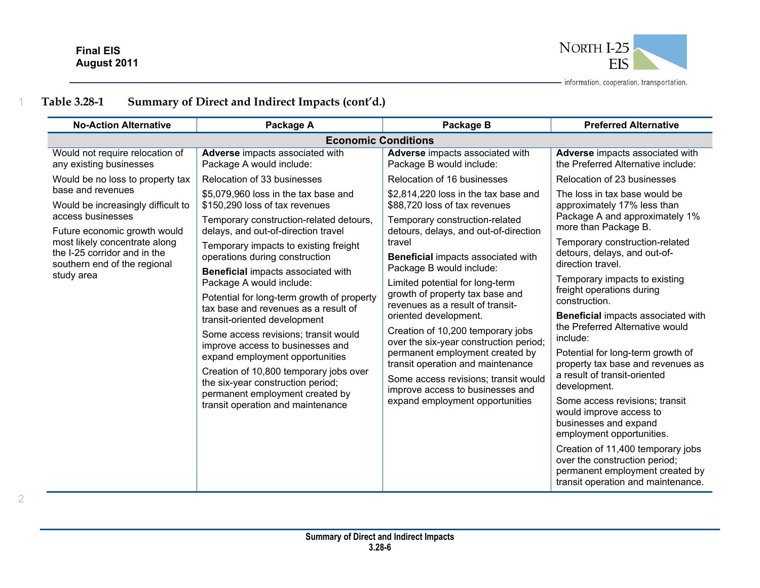

| <b>No-Action Alternative</b>                                  | Package A                                                                                                   | Package B                                                                                                      | <b>Preferred Alternative</b>                                                                                                                |  |  |  |
|---------------------------------------------------------------|-------------------------------------------------------------------------------------------------------------|----------------------------------------------------------------------------------------------------------------|---------------------------------------------------------------------------------------------------------------------------------------------|--|--|--|
|                                                               | <b>Economic Conditions</b>                                                                                  |                                                                                                                |                                                                                                                                             |  |  |  |
| Would not require relocation of<br>any existing businesses    | Adverse impacts associated with<br>Package A would include:                                                 | Adverse impacts associated with<br>Package B would include:                                                    | Adverse impacts associated with<br>the Preferred Alternative include:                                                                       |  |  |  |
| Would be no loss to property tax                              | Relocation of 33 businesses                                                                                 | Relocation of 16 businesses                                                                                    | Relocation of 23 businesses                                                                                                                 |  |  |  |
| base and revenues<br>Would be increasingly difficult to       | \$5,079,960 loss in the tax base and<br>\$150,290 loss of tax revenues                                      | \$2,814,220 loss in the tax base and<br>\$88,720 loss of tax revenues                                          | The loss in tax base would be<br>approximately 17% less than                                                                                |  |  |  |
| access businesses<br>Future economic growth would             | Temporary construction-related detours,<br>delays, and out-of-direction travel                              | Temporary construction-related<br>detours, delays, and out-of-direction                                        | Package A and approximately 1%<br>more than Package B.                                                                                      |  |  |  |
| most likely concentrate along<br>the I-25 corridor and in the | Temporary impacts to existing freight                                                                       | travel                                                                                                         | Temporary construction-related<br>detours, delays, and out-of-                                                                              |  |  |  |
| southern end of the regional                                  | operations during construction                                                                              | <b>Beneficial impacts associated with</b><br>Package B would include:                                          | direction travel.                                                                                                                           |  |  |  |
| study area                                                    | <b>Beneficial impacts associated with</b><br>Package A would include:                                       | Limited potential for long-term                                                                                | Temporary impacts to existing                                                                                                               |  |  |  |
|                                                               | Potential for long-term growth of property                                                                  | growth of property tax base and                                                                                | freight operations during<br>construction.                                                                                                  |  |  |  |
|                                                               | tax base and revenues as a result of<br>transit-oriented development                                        | revenues as a result of transit-<br>oriented development.                                                      | Beneficial impacts associated with                                                                                                          |  |  |  |
|                                                               | Some access revisions; transit would<br>improve access to businesses and<br>expand employment opportunities | Creation of 10,200 temporary jobs<br>over the six-year construction period;<br>permanent employment created by | the Preferred Alternative would<br>include:                                                                                                 |  |  |  |
|                                                               |                                                                                                             |                                                                                                                | Potential for long-term growth of                                                                                                           |  |  |  |
|                                                               | Creation of 10,800 temporary jobs over                                                                      | transit operation and maintenance                                                                              | property tax base and revenues as                                                                                                           |  |  |  |
|                                                               | the six-year construction period;                                                                           | Some access revisions; transit would<br>improve access to businesses and                                       | a result of transit-oriented<br>development.                                                                                                |  |  |  |
|                                                               | permanent employment created by<br>transit operation and maintenance                                        | expand employment opportunities                                                                                | Some access revisions; transit<br>would improve access to<br>businesses and expand<br>employment opportunities.                             |  |  |  |
|                                                               |                                                                                                             |                                                                                                                | Creation of 11,400 temporary jobs<br>over the construction period;<br>permanent employment created by<br>transit operation and maintenance. |  |  |  |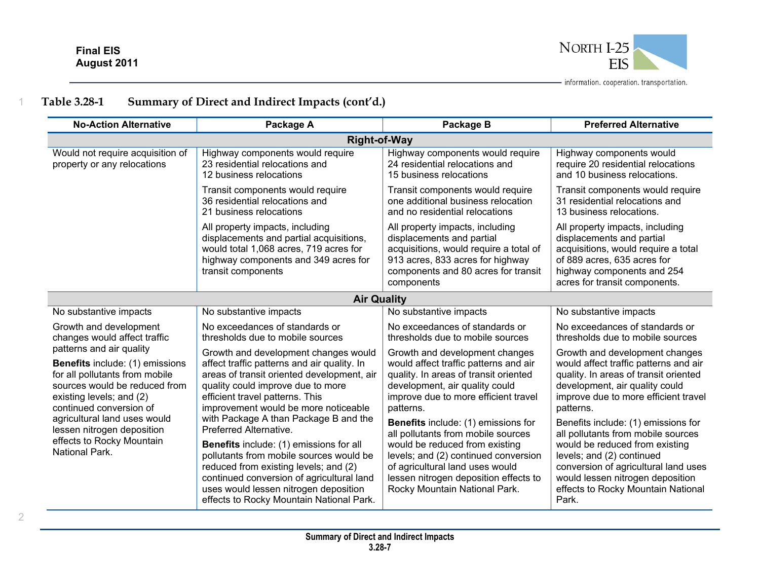

| <b>No-Action Alternative</b>                                                                                                                                                                                                                                                                       | Package A                                                                                                                                                                                                                                                                                                                                                                                                                                                                                                                                                                             | Package B                                                                                                                                                                                                                                                                                                                                                                                                                                                                   | <b>Preferred Alternative</b>                                                                                                                                                                                                                                                                                                                                                                                                                                                   |  |  |  |
|----------------------------------------------------------------------------------------------------------------------------------------------------------------------------------------------------------------------------------------------------------------------------------------------------|---------------------------------------------------------------------------------------------------------------------------------------------------------------------------------------------------------------------------------------------------------------------------------------------------------------------------------------------------------------------------------------------------------------------------------------------------------------------------------------------------------------------------------------------------------------------------------------|-----------------------------------------------------------------------------------------------------------------------------------------------------------------------------------------------------------------------------------------------------------------------------------------------------------------------------------------------------------------------------------------------------------------------------------------------------------------------------|--------------------------------------------------------------------------------------------------------------------------------------------------------------------------------------------------------------------------------------------------------------------------------------------------------------------------------------------------------------------------------------------------------------------------------------------------------------------------------|--|--|--|
| <b>Right-of-Way</b>                                                                                                                                                                                                                                                                                |                                                                                                                                                                                                                                                                                                                                                                                                                                                                                                                                                                                       |                                                                                                                                                                                                                                                                                                                                                                                                                                                                             |                                                                                                                                                                                                                                                                                                                                                                                                                                                                                |  |  |  |
| Would not require acquisition of<br>property or any relocations                                                                                                                                                                                                                                    | Highway components would require<br>23 residential relocations and<br>12 business relocations                                                                                                                                                                                                                                                                                                                                                                                                                                                                                         | Highway components would require<br>24 residential relocations and<br>15 business relocations                                                                                                                                                                                                                                                                                                                                                                               | Highway components would<br>require 20 residential relocations<br>and 10 business relocations.                                                                                                                                                                                                                                                                                                                                                                                 |  |  |  |
|                                                                                                                                                                                                                                                                                                    | Transit components would require<br>36 residential relocations and<br>21 business relocations                                                                                                                                                                                                                                                                                                                                                                                                                                                                                         | Transit components would require<br>one additional business relocation<br>and no residential relocations                                                                                                                                                                                                                                                                                                                                                                    | Transit components would require<br>31 residential relocations and<br>13 business relocations.                                                                                                                                                                                                                                                                                                                                                                                 |  |  |  |
|                                                                                                                                                                                                                                                                                                    | All property impacts, including<br>displacements and partial acquisitions,<br>would total 1,068 acres, 719 acres for<br>highway components and 349 acres for<br>transit components                                                                                                                                                                                                                                                                                                                                                                                                    | All property impacts, including<br>displacements and partial<br>acquisitions, would require a total of<br>913 acres, 833 acres for highway<br>components and 80 acres for transit<br>components                                                                                                                                                                                                                                                                             | All property impacts, including<br>displacements and partial<br>acquisitions, would require a total<br>of 889 acres, 635 acres for<br>highway components and 254<br>acres for transit components.                                                                                                                                                                                                                                                                              |  |  |  |
|                                                                                                                                                                                                                                                                                                    | <b>Air Quality</b>                                                                                                                                                                                                                                                                                                                                                                                                                                                                                                                                                                    |                                                                                                                                                                                                                                                                                                                                                                                                                                                                             |                                                                                                                                                                                                                                                                                                                                                                                                                                                                                |  |  |  |
| No substantive impacts                                                                                                                                                                                                                                                                             | No substantive impacts                                                                                                                                                                                                                                                                                                                                                                                                                                                                                                                                                                | No substantive impacts                                                                                                                                                                                                                                                                                                                                                                                                                                                      | No substantive impacts                                                                                                                                                                                                                                                                                                                                                                                                                                                         |  |  |  |
| Growth and development<br>changes would affect traffic                                                                                                                                                                                                                                             | No exceedances of standards or<br>thresholds due to mobile sources                                                                                                                                                                                                                                                                                                                                                                                                                                                                                                                    | No exceedances of standards or<br>thresholds due to mobile sources                                                                                                                                                                                                                                                                                                                                                                                                          | No exceedances of standards or<br>thresholds due to mobile sources                                                                                                                                                                                                                                                                                                                                                                                                             |  |  |  |
| patterns and air quality<br>Benefits include: (1) emissions<br>for all pollutants from mobile<br>sources would be reduced from<br>existing levels; and (2)<br>continued conversion of<br>agricultural land uses would<br>lessen nitrogen deposition<br>effects to Rocky Mountain<br>National Park. | Growth and development changes would<br>affect traffic patterns and air quality. In<br>areas of transit oriented development, air<br>quality could improve due to more<br>efficient travel patterns. This<br>improvement would be more noticeable<br>with Package A than Package B and the<br>Preferred Alternative.<br>Benefits include: (1) emissions for all<br>pollutants from mobile sources would be<br>reduced from existing levels; and (2)<br>continued conversion of agricultural land<br>uses would lessen nitrogen deposition<br>effects to Rocky Mountain National Park. | Growth and development changes<br>would affect traffic patterns and air<br>quality. In areas of transit oriented<br>development, air quality could<br>improve due to more efficient travel<br>patterns.<br>Benefits include: (1) emissions for<br>all pollutants from mobile sources<br>would be reduced from existing<br>levels; and (2) continued conversion<br>of agricultural land uses would<br>lessen nitrogen deposition effects to<br>Rocky Mountain National Park. | Growth and development changes<br>would affect traffic patterns and air<br>quality. In areas of transit oriented<br>development, air quality could<br>improve due to more efficient travel<br>patterns.<br>Benefits include: (1) emissions for<br>all pollutants from mobile sources<br>would be reduced from existing<br>levels; and (2) continued<br>conversion of agricultural land uses<br>would lessen nitrogen deposition<br>effects to Rocky Mountain National<br>Park. |  |  |  |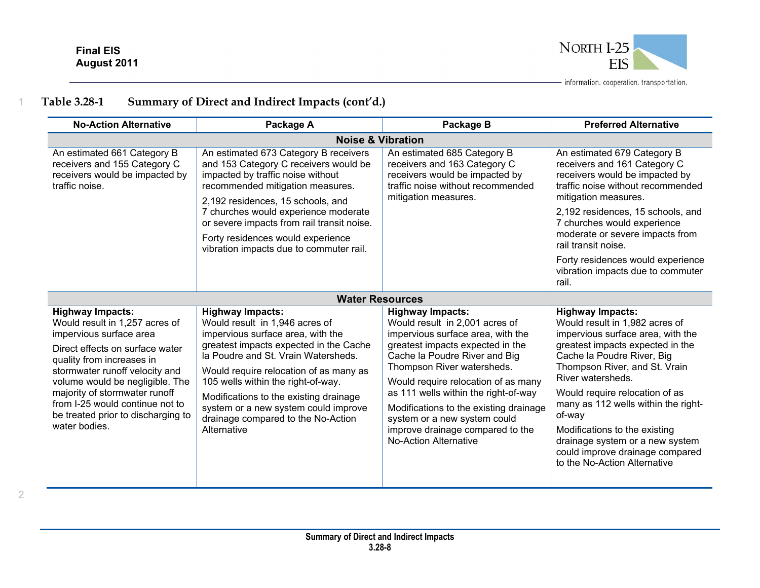2



| <b>No-Action Alternative</b>                                                                                                                                                                                                                                                                                                                         | Package A                                                                                                                                                                                                                                                                                                                                                                                              | Package B                                                                                                                                                                                                                                                                                                                                                                                                                      | <b>Preferred Alternative</b>                                                                                                                                                                                                                                                                                                                                                                                                                     |
|------------------------------------------------------------------------------------------------------------------------------------------------------------------------------------------------------------------------------------------------------------------------------------------------------------------------------------------------------|--------------------------------------------------------------------------------------------------------------------------------------------------------------------------------------------------------------------------------------------------------------------------------------------------------------------------------------------------------------------------------------------------------|--------------------------------------------------------------------------------------------------------------------------------------------------------------------------------------------------------------------------------------------------------------------------------------------------------------------------------------------------------------------------------------------------------------------------------|--------------------------------------------------------------------------------------------------------------------------------------------------------------------------------------------------------------------------------------------------------------------------------------------------------------------------------------------------------------------------------------------------------------------------------------------------|
|                                                                                                                                                                                                                                                                                                                                                      | <b>Noise &amp; Vibration</b>                                                                                                                                                                                                                                                                                                                                                                           |                                                                                                                                                                                                                                                                                                                                                                                                                                |                                                                                                                                                                                                                                                                                                                                                                                                                                                  |
| An estimated 661 Category B<br>receivers and 155 Category C<br>receivers would be impacted by<br>traffic noise.                                                                                                                                                                                                                                      | An estimated 673 Category B receivers<br>and 153 Category C receivers would be<br>impacted by traffic noise without<br>recommended mitigation measures.<br>2,192 residences, 15 schools, and<br>7 churches would experience moderate<br>or severe impacts from rail transit noise.<br>Forty residences would experience<br>vibration impacts due to commuter rail.                                     | An estimated 685 Category B<br>receivers and 163 Category C<br>receivers would be impacted by<br>traffic noise without recommended<br>mitigation measures.                                                                                                                                                                                                                                                                     | An estimated 679 Category B<br>receivers and 161 Category C<br>receivers would be impacted by<br>traffic noise without recommended<br>mitigation measures.<br>2,192 residences, 15 schools, and<br>7 churches would experience<br>moderate or severe impacts from<br>rail transit noise.<br>Forty residences would experience<br>vibration impacts due to commuter<br>rail.                                                                      |
|                                                                                                                                                                                                                                                                                                                                                      | <b>Water Resources</b>                                                                                                                                                                                                                                                                                                                                                                                 |                                                                                                                                                                                                                                                                                                                                                                                                                                |                                                                                                                                                                                                                                                                                                                                                                                                                                                  |
| <b>Highway Impacts:</b><br>Would result in 1,257 acres of<br>impervious surface area<br>Direct effects on surface water<br>quality from increases in<br>stormwater runoff velocity and<br>volume would be negligible. The<br>majority of stormwater runoff<br>from I-25 would continue not to<br>be treated prior to discharging to<br>water bodies. | <b>Highway Impacts:</b><br>Would result in 1,946 acres of<br>impervious surface area, with the<br>greatest impacts expected in the Cache<br>la Poudre and St. Vrain Watersheds.<br>Would require relocation of as many as<br>105 wells within the right-of-way.<br>Modifications to the existing drainage<br>system or a new system could improve<br>drainage compared to the No-Action<br>Alternative | <b>Highway Impacts:</b><br>Would result in 2,001 acres of<br>impervious surface area, with the<br>greatest impacts expected in the<br>Cache la Poudre River and Big<br>Thompson River watersheds.<br>Would require relocation of as many<br>as 111 wells within the right-of-way<br>Modifications to the existing drainage<br>system or a new system could<br>improve drainage compared to the<br><b>No-Action Alternative</b> | <b>Highway Impacts:</b><br>Would result in 1,982 acres of<br>impervious surface area, with the<br>greatest impacts expected in the<br>Cache la Poudre River, Big<br>Thompson River, and St. Vrain<br>River watersheds.<br>Would require relocation of as<br>many as 112 wells within the right-<br>of-way<br>Modifications to the existing<br>drainage system or a new system<br>could improve drainage compared<br>to the No-Action Alternative |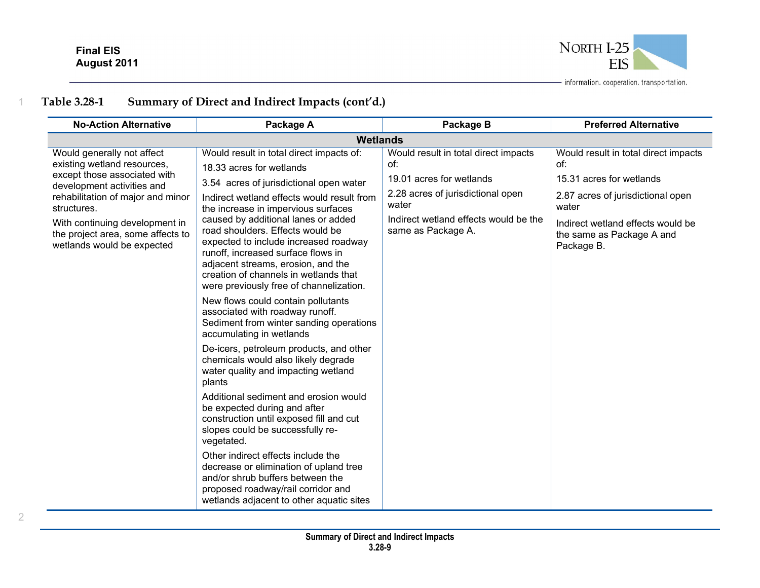

| <b>No-Action Alternative</b>                                                                                                                                                                                                                                                     | Package A                                                                                                                                                                                                                                                                                                                                                                                                                                                                                                                                                                                                                                                                                                                                                                                                                                                                                                                                                                                                                                                                                                                                               | Package B                                                                                                                                                                            | <b>Preferred Alternative</b>                                                                                                                                                                          |
|----------------------------------------------------------------------------------------------------------------------------------------------------------------------------------------------------------------------------------------------------------------------------------|---------------------------------------------------------------------------------------------------------------------------------------------------------------------------------------------------------------------------------------------------------------------------------------------------------------------------------------------------------------------------------------------------------------------------------------------------------------------------------------------------------------------------------------------------------------------------------------------------------------------------------------------------------------------------------------------------------------------------------------------------------------------------------------------------------------------------------------------------------------------------------------------------------------------------------------------------------------------------------------------------------------------------------------------------------------------------------------------------------------------------------------------------------|--------------------------------------------------------------------------------------------------------------------------------------------------------------------------------------|-------------------------------------------------------------------------------------------------------------------------------------------------------------------------------------------------------|
|                                                                                                                                                                                                                                                                                  | <b>Wetlands</b>                                                                                                                                                                                                                                                                                                                                                                                                                                                                                                                                                                                                                                                                                                                                                                                                                                                                                                                                                                                                                                                                                                                                         |                                                                                                                                                                                      |                                                                                                                                                                                                       |
| Would generally not affect<br>existing wetland resources,<br>except those associated with<br>development activities and<br>rehabilitation of major and minor<br>structures.<br>With continuing development in<br>the project area, some affects to<br>wetlands would be expected | Would result in total direct impacts of:<br>18.33 acres for wetlands<br>3.54 acres of jurisdictional open water<br>Indirect wetland effects would result from<br>the increase in impervious surfaces<br>caused by additional lanes or added<br>road shoulders. Effects would be<br>expected to include increased roadway<br>runoff, increased surface flows in<br>adjacent streams, erosion, and the<br>creation of channels in wetlands that<br>were previously free of channelization.<br>New flows could contain pollutants<br>associated with roadway runoff.<br>Sediment from winter sanding operations<br>accumulating in wetlands<br>De-icers, petroleum products, and other<br>chemicals would also likely degrade<br>water quality and impacting wetland<br>plants<br>Additional sediment and erosion would<br>be expected during and after<br>construction until exposed fill and cut<br>slopes could be successfully re-<br>vegetated.<br>Other indirect effects include the<br>decrease or elimination of upland tree<br>and/or shrub buffers between the<br>proposed roadway/rail corridor and<br>wetlands adjacent to other aquatic sites | Would result in total direct impacts<br>of:<br>19.01 acres for wetlands<br>2.28 acres of jurisdictional open<br>water<br>Indirect wetland effects would be the<br>same as Package A. | Would result in total direct impacts<br>of:<br>15.31 acres for wetlands<br>2.87 acres of jurisdictional open<br>water<br>Indirect wetland effects would be<br>the same as Package A and<br>Package B. |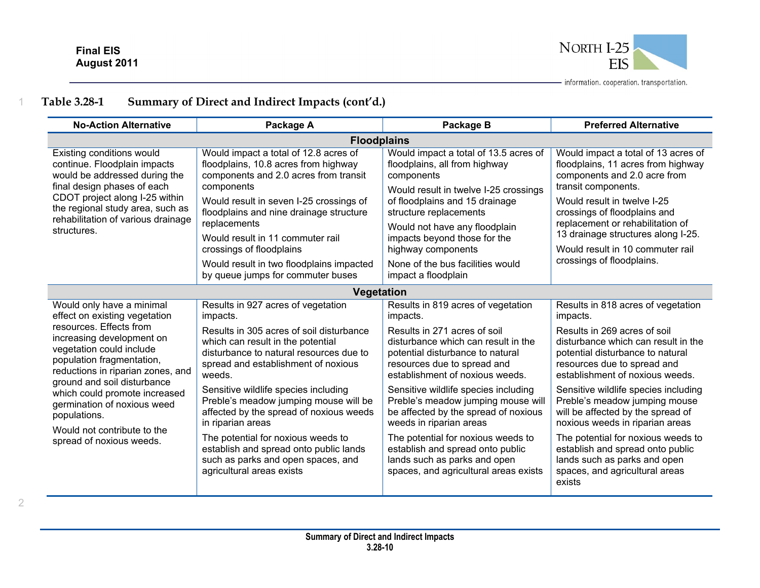2



| <b>No-Action Alternative</b>                                                                                                                                                                                                                                                                                                                                                               | Package A                                                                                                                                                                                                                                                                                                                                                                                                                                                                                                                       | Package B                                                                                                                                                                                                                                                                                                                                                                                                                                                                                                                       | <b>Preferred Alternative</b>                                                                                                                                                                                                                                                                                                                                                                                                                                                                                                       |  |  |  |
|--------------------------------------------------------------------------------------------------------------------------------------------------------------------------------------------------------------------------------------------------------------------------------------------------------------------------------------------------------------------------------------------|---------------------------------------------------------------------------------------------------------------------------------------------------------------------------------------------------------------------------------------------------------------------------------------------------------------------------------------------------------------------------------------------------------------------------------------------------------------------------------------------------------------------------------|---------------------------------------------------------------------------------------------------------------------------------------------------------------------------------------------------------------------------------------------------------------------------------------------------------------------------------------------------------------------------------------------------------------------------------------------------------------------------------------------------------------------------------|------------------------------------------------------------------------------------------------------------------------------------------------------------------------------------------------------------------------------------------------------------------------------------------------------------------------------------------------------------------------------------------------------------------------------------------------------------------------------------------------------------------------------------|--|--|--|
|                                                                                                                                                                                                                                                                                                                                                                                            | <b>Floodplains</b>                                                                                                                                                                                                                                                                                                                                                                                                                                                                                                              |                                                                                                                                                                                                                                                                                                                                                                                                                                                                                                                                 |                                                                                                                                                                                                                                                                                                                                                                                                                                                                                                                                    |  |  |  |
| Existing conditions would<br>continue. Floodplain impacts<br>would be addressed during the<br>final design phases of each<br>CDOT project along I-25 within<br>the regional study area, such as<br>rehabilitation of various drainage<br>structures.                                                                                                                                       | Would impact a total of 12.8 acres of<br>floodplains, 10.8 acres from highway<br>components and 2.0 acres from transit<br>components<br>Would result in seven I-25 crossings of<br>floodplains and nine drainage structure<br>replacements<br>Would result in 11 commuter rail<br>crossings of floodplains<br>Would result in two floodplains impacted                                                                                                                                                                          | Would impact a total of 13.5 acres of<br>floodplains, all from highway<br>components<br>Would result in twelve I-25 crossings<br>of floodplains and 15 drainage<br>structure replacements<br>Would not have any floodplain<br>impacts beyond those for the<br>highway components<br>None of the bus facilities would                                                                                                                                                                                                            | Would impact a total of 13 acres of<br>floodplains, 11 acres from highway<br>components and 2.0 acre from<br>transit components.<br>Would result in twelve I-25<br>crossings of floodplains and<br>replacement or rehabilitation of<br>13 drainage structures along I-25.<br>Would result in 10 commuter rail<br>crossings of floodplains.                                                                                                                                                                                         |  |  |  |
|                                                                                                                                                                                                                                                                                                                                                                                            | by queue jumps for commuter buses                                                                                                                                                                                                                                                                                                                                                                                                                                                                                               | impact a floodplain                                                                                                                                                                                                                                                                                                                                                                                                                                                                                                             |                                                                                                                                                                                                                                                                                                                                                                                                                                                                                                                                    |  |  |  |
|                                                                                                                                                                                                                                                                                                                                                                                            | Vegetation                                                                                                                                                                                                                                                                                                                                                                                                                                                                                                                      |                                                                                                                                                                                                                                                                                                                                                                                                                                                                                                                                 |                                                                                                                                                                                                                                                                                                                                                                                                                                                                                                                                    |  |  |  |
| Would only have a minimal<br>effect on existing vegetation<br>resources. Effects from<br>increasing development on<br>vegetation could include<br>population fragmentation,<br>reductions in riparian zones, and<br>ground and soil disturbance<br>which could promote increased<br>germination of noxious weed<br>populations.<br>Would not contribute to the<br>spread of noxious weeds. | Results in 927 acres of vegetation<br>impacts.<br>Results in 305 acres of soil disturbance<br>which can result in the potential<br>disturbance to natural resources due to<br>spread and establishment of noxious<br>weeds.<br>Sensitive wildlife species including<br>Preble's meadow jumping mouse will be<br>affected by the spread of noxious weeds<br>in riparian areas<br>The potential for noxious weeds to<br>establish and spread onto public lands<br>such as parks and open spaces, and<br>agricultural areas exists | Results in 819 acres of vegetation<br>impacts.<br>Results in 271 acres of soil<br>disturbance which can result in the<br>potential disturbance to natural<br>resources due to spread and<br>establishment of noxious weeds.<br>Sensitive wildlife species including<br>Preble's meadow jumping mouse will<br>be affected by the spread of noxious<br>weeds in riparian areas<br>The potential for noxious weeds to<br>establish and spread onto public<br>lands such as parks and open<br>spaces, and agricultural areas exists | Results in 818 acres of vegetation<br>impacts.<br>Results in 269 acres of soil<br>disturbance which can result in the<br>potential disturbance to natural<br>resources due to spread and<br>establishment of noxious weeds.<br>Sensitive wildlife species including<br>Preble's meadow jumping mouse<br>will be affected by the spread of<br>noxious weeds in riparian areas<br>The potential for noxious weeds to<br>establish and spread onto public<br>lands such as parks and open<br>spaces, and agricultural areas<br>exists |  |  |  |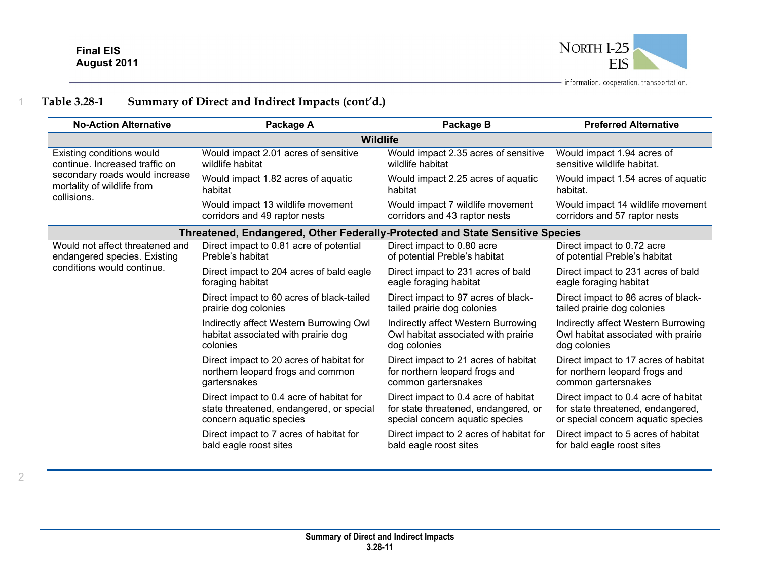2



| <b>No-Action Alternative</b>                                                | Package A                                                                     | Package B                                     | <b>Preferred Alternative</b>                   |
|-----------------------------------------------------------------------------|-------------------------------------------------------------------------------|-----------------------------------------------|------------------------------------------------|
|                                                                             | <b>Wildlife</b>                                                               |                                               |                                                |
| Existing conditions would                                                   | Would impact 2.01 acres of sensitive                                          | Would impact 2.35 acres of sensitive          | Would impact 1.94 acres of                     |
| continue. Increased traffic on                                              | wildlife habitat                                                              | wildlife habitat                              | sensitive wildlife habitat.                    |
| secondary roads would increase<br>mortality of wildlife from<br>collisions. | Would impact 1.82 acres of aquatic<br>habitat                                 | Would impact 2.25 acres of aquatic<br>habitat | Would impact 1.54 acres of aquatic<br>habitat. |
|                                                                             | Would impact 13 wildlife movement                                             | Would impact 7 wildlife movement              | Would impact 14 wildlife movement              |
|                                                                             | corridors and 49 raptor nests                                                 | corridors and 43 raptor nests                 | corridors and 57 raptor nests                  |
|                                                                             | Threatened, Endangered, Other Federally-Protected and State Sensitive Species |                                               |                                                |
| Would not affect threatened and                                             | Direct impact to 0.81 acre of potential                                       | Direct impact to 0.80 acre                    | Direct impact to 0.72 acre                     |
| endangered species. Existing                                                | Preble's habitat                                                              | of potential Preble's habitat                 | of potential Preble's habitat                  |
| conditions would continue.                                                  | Direct impact to 204 acres of bald eagle                                      | Direct impact to 231 acres of bald            | Direct impact to 231 acres of bald             |
|                                                                             | foraging habitat                                                              | eagle foraging habitat                        | eagle foraging habitat                         |
|                                                                             | Direct impact to 60 acres of black-tailed                                     | Direct impact to 97 acres of black-           | Direct impact to 86 acres of black-            |
|                                                                             | prairie dog colonies                                                          | tailed prairie dog colonies                   | tailed prairie dog colonies                    |
|                                                                             | Indirectly affect Western Burrowing Owl                                       | Indirectly affect Western Burrowing           | Indirectly affect Western Burrowing            |
|                                                                             | habitat associated with prairie dog                                           | Owl habitat associated with prairie           | Owl habitat associated with prairie            |
|                                                                             | colonies                                                                      | dog colonies                                  | dog colonies                                   |
|                                                                             | Direct impact to 20 acres of habitat for                                      | Direct impact to 21 acres of habitat          | Direct impact to 17 acres of habitat           |
|                                                                             | northern leopard frogs and common                                             | for northern leopard frogs and                | for northern leopard frogs and                 |
|                                                                             | gartersnakes                                                                  | common gartersnakes                           | common gartersnakes                            |
|                                                                             | Direct impact to 0.4 acre of habitat for                                      | Direct impact to 0.4 acre of habitat          | Direct impact to 0.4 acre of habitat           |
|                                                                             | state threatened, endangered, or special                                      | for state threatened, endangered, or          | for state threatened, endangered,              |
|                                                                             | concern aquatic species                                                       | special concern aquatic species               | or special concern aquatic species             |
|                                                                             | Direct impact to 7 acres of habitat for                                       | Direct impact to 2 acres of habitat for       | Direct impact to 5 acres of habitat            |
|                                                                             | bald eagle roost sites                                                        | bald eagle roost sites                        | for bald eagle roost sites                     |
|                                                                             |                                                                               |                                               |                                                |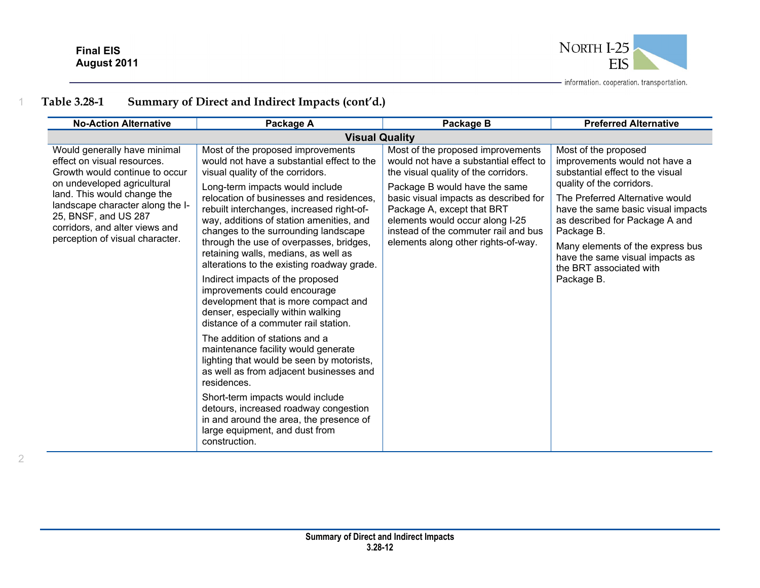2



| <b>No-Action Alternative</b>                                                                                                                                                                                                                                                                 | Package A                                                                                                                                                                                                                                                                                                                                                                                                                                                                                                                                                                                                                                                                                                                                                                                                                                     | Package B                                                                                                                                                                                                                                                                                                                                     | <b>Preferred Alternative</b>                                                                                                                                                                                                                                                                                                                                    |
|----------------------------------------------------------------------------------------------------------------------------------------------------------------------------------------------------------------------------------------------------------------------------------------------|-----------------------------------------------------------------------------------------------------------------------------------------------------------------------------------------------------------------------------------------------------------------------------------------------------------------------------------------------------------------------------------------------------------------------------------------------------------------------------------------------------------------------------------------------------------------------------------------------------------------------------------------------------------------------------------------------------------------------------------------------------------------------------------------------------------------------------------------------|-----------------------------------------------------------------------------------------------------------------------------------------------------------------------------------------------------------------------------------------------------------------------------------------------------------------------------------------------|-----------------------------------------------------------------------------------------------------------------------------------------------------------------------------------------------------------------------------------------------------------------------------------------------------------------------------------------------------------------|
|                                                                                                                                                                                                                                                                                              | <b>Visual Quality</b>                                                                                                                                                                                                                                                                                                                                                                                                                                                                                                                                                                                                                                                                                                                                                                                                                         |                                                                                                                                                                                                                                                                                                                                               |                                                                                                                                                                                                                                                                                                                                                                 |
| Would generally have minimal<br>effect on visual resources.<br>Growth would continue to occur<br>on undeveloped agricultural<br>land. This would change the<br>landscape character along the I-<br>25, BNSF, and US 287<br>corridors, and alter views and<br>perception of visual character. | Most of the proposed improvements<br>would not have a substantial effect to the<br>visual quality of the corridors.<br>Long-term impacts would include<br>relocation of businesses and residences,<br>rebuilt interchanges, increased right-of-<br>way, additions of station amenities, and<br>changes to the surrounding landscape<br>through the use of overpasses, bridges,<br>retaining walls, medians, as well as<br>alterations to the existing roadway grade.<br>Indirect impacts of the proposed<br>improvements could encourage<br>development that is more compact and<br>denser, especially within walking<br>distance of a commuter rail station.<br>The addition of stations and a<br>maintenance facility would generate<br>lighting that would be seen by motorists,<br>as well as from adjacent businesses and<br>residences. | Most of the proposed improvements<br>would not have a substantial effect to<br>the visual quality of the corridors.<br>Package B would have the same<br>basic visual impacts as described for<br>Package A, except that BRT<br>elements would occur along I-25<br>instead of the commuter rail and bus<br>elements along other rights-of-way. | Most of the proposed<br>improvements would not have a<br>substantial effect to the visual<br>quality of the corridors.<br>The Preferred Alternative would<br>have the same basic visual impacts<br>as described for Package A and<br>Package B.<br>Many elements of the express bus<br>have the same visual impacts as<br>the BRT associated with<br>Package B. |
|                                                                                                                                                                                                                                                                                              | Short-term impacts would include<br>detours, increased roadway congestion<br>in and around the area, the presence of<br>large equipment, and dust from<br>construction.                                                                                                                                                                                                                                                                                                                                                                                                                                                                                                                                                                                                                                                                       |                                                                                                                                                                                                                                                                                                                                               |                                                                                                                                                                                                                                                                                                                                                                 |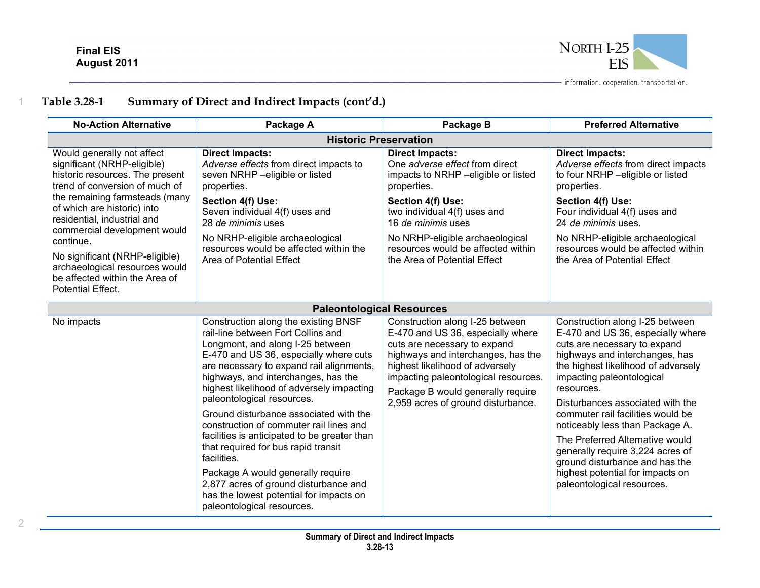

| <b>No-Action Alternative</b>                                                                                                                                                                                                   | Package A                                                                                                                                                                                                                                                                                                                                                                                                                                                                                                                                                                                                                                                                | Package B                                                                                                                                                                                                                                                                                        | <b>Preferred Alternative</b>                                                                                                                                                                                                                                                                                                                                                                                                                                                                                    |  |  |
|--------------------------------------------------------------------------------------------------------------------------------------------------------------------------------------------------------------------------------|--------------------------------------------------------------------------------------------------------------------------------------------------------------------------------------------------------------------------------------------------------------------------------------------------------------------------------------------------------------------------------------------------------------------------------------------------------------------------------------------------------------------------------------------------------------------------------------------------------------------------------------------------------------------------|--------------------------------------------------------------------------------------------------------------------------------------------------------------------------------------------------------------------------------------------------------------------------------------------------|-----------------------------------------------------------------------------------------------------------------------------------------------------------------------------------------------------------------------------------------------------------------------------------------------------------------------------------------------------------------------------------------------------------------------------------------------------------------------------------------------------------------|--|--|
|                                                                                                                                                                                                                                | <b>Historic Preservation</b>                                                                                                                                                                                                                                                                                                                                                                                                                                                                                                                                                                                                                                             |                                                                                                                                                                                                                                                                                                  |                                                                                                                                                                                                                                                                                                                                                                                                                                                                                                                 |  |  |
| Would generally not affect<br>significant (NRHP-eligible)<br>historic resources. The present<br>trend of conversion of much of<br>the remaining farmsteads (many<br>of which are historic) into<br>residential, industrial and | <b>Direct Impacts:</b><br>Adverse effects from direct impacts to<br>seven NRHP -eligible or listed<br>properties.                                                                                                                                                                                                                                                                                                                                                                                                                                                                                                                                                        | <b>Direct Impacts:</b><br>One adverse effect from direct<br>impacts to NRHP -eligible or listed<br>properties.                                                                                                                                                                                   | <b>Direct Impacts:</b><br>Adverse effects from direct impacts<br>to four NRHP -eligible or listed<br>properties.                                                                                                                                                                                                                                                                                                                                                                                                |  |  |
|                                                                                                                                                                                                                                | Section 4(f) Use:<br>Seven individual 4(f) uses and<br>28 de minimis uses                                                                                                                                                                                                                                                                                                                                                                                                                                                                                                                                                                                                | Section 4(f) Use:<br>two individual 4(f) uses and<br>16 de minimis uses                                                                                                                                                                                                                          | Section 4(f) Use:<br>Four individual 4(f) uses and<br>24 de minimis uses.                                                                                                                                                                                                                                                                                                                                                                                                                                       |  |  |
| commercial development would<br>continue.<br>No significant (NRHP-eligible)<br>archaeological resources would<br>be affected within the Area of<br>Potential Effect.                                                           | No NRHP-eligible archaeological<br>resources would be affected within the<br>Area of Potential Effect                                                                                                                                                                                                                                                                                                                                                                                                                                                                                                                                                                    | No NRHP-eligible archaeological<br>resources would be affected within<br>the Area of Potential Effect                                                                                                                                                                                            | No NRHP-eligible archaeological<br>resources would be affected within<br>the Area of Potential Effect                                                                                                                                                                                                                                                                                                                                                                                                           |  |  |
|                                                                                                                                                                                                                                | <b>Paleontological Resources</b>                                                                                                                                                                                                                                                                                                                                                                                                                                                                                                                                                                                                                                         |                                                                                                                                                                                                                                                                                                  |                                                                                                                                                                                                                                                                                                                                                                                                                                                                                                                 |  |  |
| No impacts                                                                                                                                                                                                                     | Construction along the existing BNSF<br>rail-line between Fort Collins and<br>Longmont, and along I-25 between<br>E-470 and US 36, especially where cuts<br>are necessary to expand rail alignments,<br>highways, and interchanges, has the<br>highest likelihood of adversely impacting<br>paleontological resources.<br>Ground disturbance associated with the<br>construction of commuter rail lines and<br>facilities is anticipated to be greater than<br>that required for bus rapid transit<br>facilities.<br>Package A would generally require<br>2,877 acres of ground disturbance and<br>has the lowest potential for impacts on<br>paleontological resources. | Construction along I-25 between<br>E-470 and US 36, especially where<br>cuts are necessary to expand<br>highways and interchanges, has the<br>highest likelihood of adversely<br>impacting paleontological resources.<br>Package B would generally require<br>2,959 acres of ground disturbance. | Construction along I-25 between<br>E-470 and US 36, especially where<br>cuts are necessary to expand<br>highways and interchanges, has<br>the highest likelihood of adversely<br>impacting paleontological<br>resources.<br>Disturbances associated with the<br>commuter rail facilities would be<br>noticeably less than Package A.<br>The Preferred Alternative would<br>generally require 3,224 acres of<br>ground disturbance and has the<br>highest potential for impacts on<br>paleontological resources. |  |  |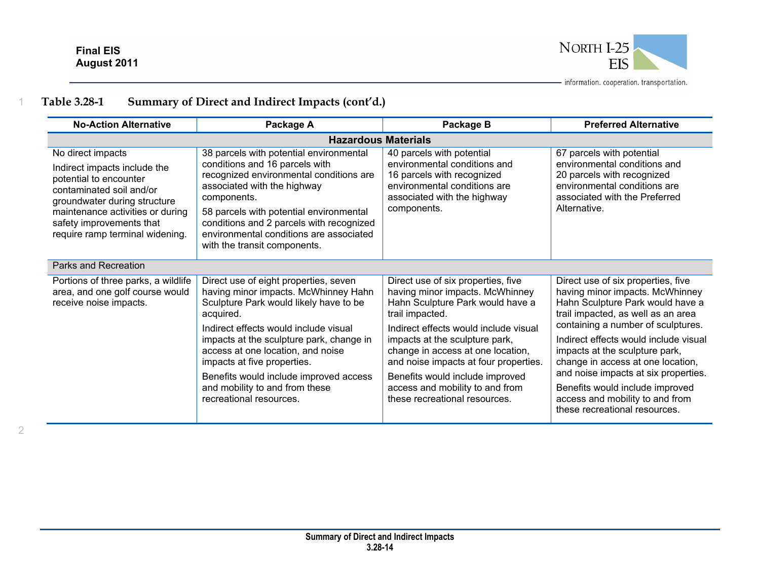

| <b>No-Action Alternative</b>                                                                                                                                                                                                               | Package A                                                                                                                                                                                                                                                                                                                                                                                            | Package B                                                                                                                                                                                                                                                                                                                                                                                    | <b>Preferred Alternative</b>                                                                                                                                                                                                                                                                                                                                                                                                                         |  |
|--------------------------------------------------------------------------------------------------------------------------------------------------------------------------------------------------------------------------------------------|------------------------------------------------------------------------------------------------------------------------------------------------------------------------------------------------------------------------------------------------------------------------------------------------------------------------------------------------------------------------------------------------------|----------------------------------------------------------------------------------------------------------------------------------------------------------------------------------------------------------------------------------------------------------------------------------------------------------------------------------------------------------------------------------------------|------------------------------------------------------------------------------------------------------------------------------------------------------------------------------------------------------------------------------------------------------------------------------------------------------------------------------------------------------------------------------------------------------------------------------------------------------|--|
| <b>Hazardous Materials</b>                                                                                                                                                                                                                 |                                                                                                                                                                                                                                                                                                                                                                                                      |                                                                                                                                                                                                                                                                                                                                                                                              |                                                                                                                                                                                                                                                                                                                                                                                                                                                      |  |
| No direct impacts<br>Indirect impacts include the<br>potential to encounter<br>contaminated soil and/or<br>groundwater during structure<br>maintenance activities or during<br>safety improvements that<br>require ramp terminal widening. | 38 parcels with potential environmental<br>conditions and 16 parcels with<br>recognized environmental conditions are<br>associated with the highway<br>components.<br>58 parcels with potential environmental<br>conditions and 2 parcels with recognized<br>environmental conditions are associated<br>with the transit components.                                                                 | 40 parcels with potential<br>environmental conditions and<br>16 parcels with recognized<br>environmental conditions are<br>associated with the highway<br>components.                                                                                                                                                                                                                        | 67 parcels with potential<br>environmental conditions and<br>20 parcels with recognized<br>environmental conditions are<br>associated with the Preferred<br>Alternative.                                                                                                                                                                                                                                                                             |  |
| Parks and Recreation                                                                                                                                                                                                                       |                                                                                                                                                                                                                                                                                                                                                                                                      |                                                                                                                                                                                                                                                                                                                                                                                              |                                                                                                                                                                                                                                                                                                                                                                                                                                                      |  |
| Portions of three parks, a wildlife<br>area, and one golf course would<br>receive noise impacts.                                                                                                                                           | Direct use of eight properties, seven<br>having minor impacts. McWhinney Hahn<br>Sculpture Park would likely have to be<br>acquired.<br>Indirect effects would include visual<br>impacts at the sculpture park, change in<br>access at one location, and noise<br>impacts at five properties.<br>Benefits would include improved access<br>and mobility to and from these<br>recreational resources. | Direct use of six properties, five<br>having minor impacts. McWhinney<br>Hahn Sculpture Park would have a<br>trail impacted.<br>Indirect effects would include visual<br>impacts at the sculpture park,<br>change in access at one location,<br>and noise impacts at four properties.<br>Benefits would include improved<br>access and mobility to and from<br>these recreational resources. | Direct use of six properties, five<br>having minor impacts. McWhinney<br>Hahn Sculpture Park would have a<br>trail impacted, as well as an area<br>containing a number of sculptures.<br>Indirect effects would include visual<br>impacts at the sculpture park,<br>change in access at one location,<br>and noise impacts at six properties.<br>Benefits would include improved<br>access and mobility to and from<br>these recreational resources. |  |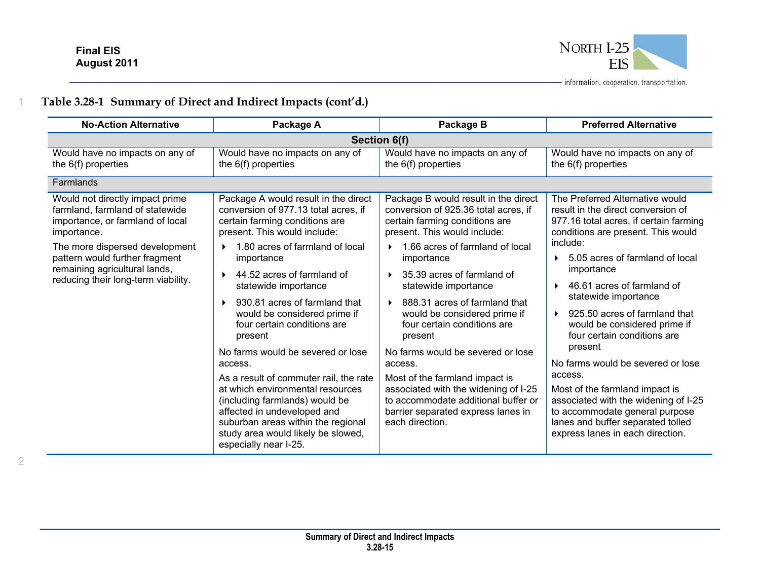2



| <b>No-Action Alternative</b>                                                                                                                                                                                                                                      | Package A                                                                                                                                                                                                                                                                                                                                                                                                                                                                                                                                                                                                                                                            | Package B                                                                                                                                                                                                                                                                                                                                                                                                                                                                                                                                                                                                                                    | <b>Preferred Alternative</b>                                                                                                                                                                                                                                                                                                                                                                                                                                                                                                                                                                                                                      |
|-------------------------------------------------------------------------------------------------------------------------------------------------------------------------------------------------------------------------------------------------------------------|----------------------------------------------------------------------------------------------------------------------------------------------------------------------------------------------------------------------------------------------------------------------------------------------------------------------------------------------------------------------------------------------------------------------------------------------------------------------------------------------------------------------------------------------------------------------------------------------------------------------------------------------------------------------|----------------------------------------------------------------------------------------------------------------------------------------------------------------------------------------------------------------------------------------------------------------------------------------------------------------------------------------------------------------------------------------------------------------------------------------------------------------------------------------------------------------------------------------------------------------------------------------------------------------------------------------------|---------------------------------------------------------------------------------------------------------------------------------------------------------------------------------------------------------------------------------------------------------------------------------------------------------------------------------------------------------------------------------------------------------------------------------------------------------------------------------------------------------------------------------------------------------------------------------------------------------------------------------------------------|
|                                                                                                                                                                                                                                                                   |                                                                                                                                                                                                                                                                                                                                                                                                                                                                                                                                                                                                                                                                      | Section 6(f)                                                                                                                                                                                                                                                                                                                                                                                                                                                                                                                                                                                                                                 |                                                                                                                                                                                                                                                                                                                                                                                                                                                                                                                                                                                                                                                   |
| Would have no impacts on any of<br>the 6(f) properties                                                                                                                                                                                                            | Would have no impacts on any of<br>the 6(f) properties                                                                                                                                                                                                                                                                                                                                                                                                                                                                                                                                                                                                               | Would have no impacts on any of<br>the 6(f) properties                                                                                                                                                                                                                                                                                                                                                                                                                                                                                                                                                                                       | Would have no impacts on any of<br>the 6(f) properties                                                                                                                                                                                                                                                                                                                                                                                                                                                                                                                                                                                            |
| Farmlands                                                                                                                                                                                                                                                         |                                                                                                                                                                                                                                                                                                                                                                                                                                                                                                                                                                                                                                                                      |                                                                                                                                                                                                                                                                                                                                                                                                                                                                                                                                                                                                                                              |                                                                                                                                                                                                                                                                                                                                                                                                                                                                                                                                                                                                                                                   |
| Would not directly impact prime<br>farmland, farmland of statewide<br>importance, or farmland of local<br>importance.<br>The more dispersed development<br>pattern would further fragment<br>remaining agricultural lands,<br>reducing their long-term viability. | Package A would result in the direct<br>conversion of 977.13 total acres, if<br>certain farming conditions are<br>present. This would include:<br>1.80 acres of farmland of local<br>importance<br>44.52 acres of farmland of<br>statewide importance<br>930.81 acres of farmland that<br>would be considered prime if<br>four certain conditions are<br>present<br>No farms would be severed or lose<br>access.<br>As a result of commuter rail, the rate<br>at which environmental resources<br>(including farmlands) would be<br>affected in undeveloped and<br>suburban areas within the regional<br>study area would likely be slowed,<br>especially near I-25. | Package B would result in the direct<br>conversion of 925.36 total acres, if<br>certain farming conditions are<br>present. This would include:<br>1.66 acres of farmland of local<br>importance<br>35.39 acres of farmland of<br>$\blacktriangleright$<br>statewide importance<br>888.31 acres of farmland that<br>$\blacktriangleright$<br>would be considered prime if<br>four certain conditions are<br>present<br>No farms would be severed or lose<br>access.<br>Most of the farmland impact is<br>associated with the widening of I-25<br>to accommodate additional buffer or<br>barrier separated express lanes in<br>each direction. | The Preferred Alternative would<br>result in the direct conversion of<br>977.16 total acres, if certain farming<br>conditions are present. This would<br>include:<br>5.05 acres of farmland of local<br>$\blacktriangleright$<br>importance<br>46.61 acres of farmland of<br>statewide importance<br>925.50 acres of farmland that<br>would be considered prime if<br>four certain conditions are<br>present<br>No farms would be severed or lose<br>access.<br>Most of the farmland impact is<br>associated with the widening of I-25<br>to accommodate general purpose<br>lanes and buffer separated tolled<br>express lanes in each direction. |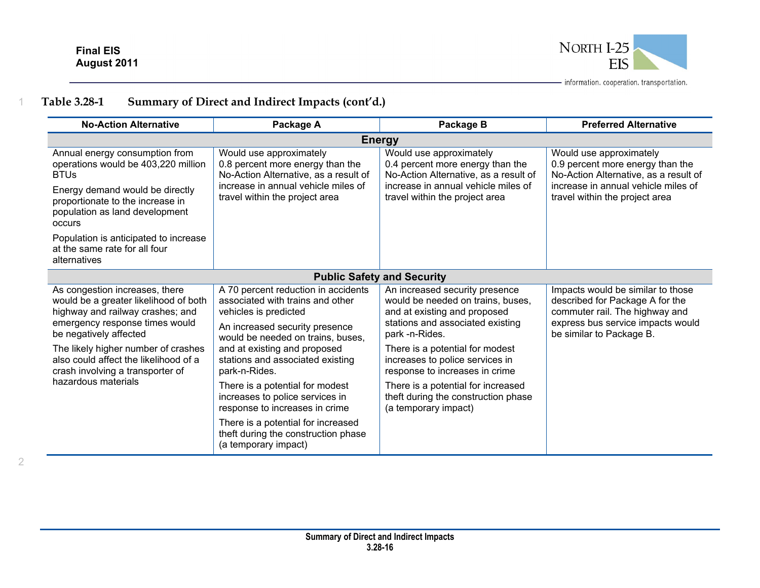

| <b>No-Action Alternative</b>                                                                                                                                                                                                                                                                | Package A                                                                                                                                                                                                                                                    | Package B                                                                                                                                                                                                                                                         | <b>Preferred Alternative</b>                                                                                                                                                  |
|---------------------------------------------------------------------------------------------------------------------------------------------------------------------------------------------------------------------------------------------------------------------------------------------|--------------------------------------------------------------------------------------------------------------------------------------------------------------------------------------------------------------------------------------------------------------|-------------------------------------------------------------------------------------------------------------------------------------------------------------------------------------------------------------------------------------------------------------------|-------------------------------------------------------------------------------------------------------------------------------------------------------------------------------|
|                                                                                                                                                                                                                                                                                             |                                                                                                                                                                                                                                                              | <b>Energy</b>                                                                                                                                                                                                                                                     |                                                                                                                                                                               |
| Annual energy consumption from<br>operations would be 403,220 million<br><b>BTUs</b><br>Energy demand would be directly<br>proportionate to the increase in<br>population as land development<br>occurs                                                                                     | Would use approximately<br>0.8 percent more energy than the<br>No-Action Alternative, as a result of<br>increase in annual vehicle miles of<br>travel within the project area                                                                                | Would use approximately<br>0.4 percent more energy than the<br>No-Action Alternative, as a result of<br>increase in annual vehicle miles of<br>travel within the project area                                                                                     | Would use approximately<br>0.9 percent more energy than the<br>No-Action Alternative, as a result of<br>increase in annual vehicle miles of<br>travel within the project area |
| Population is anticipated to increase<br>at the same rate for all four<br>alternatives                                                                                                                                                                                                      |                                                                                                                                                                                                                                                              |                                                                                                                                                                                                                                                                   |                                                                                                                                                                               |
|                                                                                                                                                                                                                                                                                             |                                                                                                                                                                                                                                                              | <b>Public Safety and Security</b>                                                                                                                                                                                                                                 |                                                                                                                                                                               |
| As congestion increases, there<br>would be a greater likelihood of both<br>highway and railway crashes; and<br>emergency response times would<br>be negatively affected<br>The likely higher number of crashes<br>also could affect the likelihood of a<br>crash involving a transporter of | A 70 percent reduction in accidents<br>associated with trains and other<br>vehicles is predicted<br>An increased security presence<br>would be needed on trains, buses,<br>and at existing and proposed<br>stations and associated existing<br>park-n-Rides. | An increased security presence<br>would be needed on trains, buses,<br>and at existing and proposed<br>stations and associated existing<br>park -n-Rides.<br>There is a potential for modest<br>increases to police services in<br>response to increases in crime | Impacts would be similar to those<br>described for Package A for the<br>commuter rail. The highway and<br>express bus service impacts would<br>be similar to Package B.       |
| hazardous materials                                                                                                                                                                                                                                                                         | There is a potential for modest<br>increases to police services in<br>response to increases in crime<br>There is a potential for increased<br>theft during the construction phase<br>(a temporary impact)                                                    | There is a potential for increased<br>theft during the construction phase<br>(a temporary impact)                                                                                                                                                                 |                                                                                                                                                                               |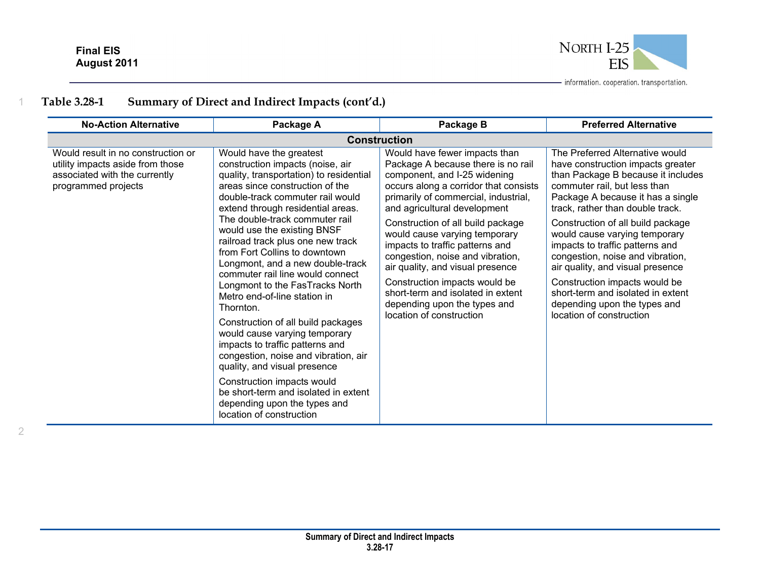

| <b>No-Action Alternative</b>                                                                                                   | Package A                                                                                                                                                                                                                                                                                                                                                                                                                                                                                                                                                                                                                                                                                                                                                                                                                             | Package B                                                                                                                                                                                                                                                                                                                                                                                                                                                                                                                               | <b>Preferred Alternative</b>                                                                                                                                                                                                                                                                                                                                                                                                                                                                                                           |
|--------------------------------------------------------------------------------------------------------------------------------|---------------------------------------------------------------------------------------------------------------------------------------------------------------------------------------------------------------------------------------------------------------------------------------------------------------------------------------------------------------------------------------------------------------------------------------------------------------------------------------------------------------------------------------------------------------------------------------------------------------------------------------------------------------------------------------------------------------------------------------------------------------------------------------------------------------------------------------|-----------------------------------------------------------------------------------------------------------------------------------------------------------------------------------------------------------------------------------------------------------------------------------------------------------------------------------------------------------------------------------------------------------------------------------------------------------------------------------------------------------------------------------------|----------------------------------------------------------------------------------------------------------------------------------------------------------------------------------------------------------------------------------------------------------------------------------------------------------------------------------------------------------------------------------------------------------------------------------------------------------------------------------------------------------------------------------------|
| <b>Construction</b>                                                                                                            |                                                                                                                                                                                                                                                                                                                                                                                                                                                                                                                                                                                                                                                                                                                                                                                                                                       |                                                                                                                                                                                                                                                                                                                                                                                                                                                                                                                                         |                                                                                                                                                                                                                                                                                                                                                                                                                                                                                                                                        |
| Would result in no construction or<br>utility impacts aside from those<br>associated with the currently<br>programmed projects | Would have the greatest<br>construction impacts (noise, air<br>quality, transportation) to residential<br>areas since construction of the<br>double-track commuter rail would<br>extend through residential areas.<br>The double-track commuter rail<br>would use the existing BNSF<br>railroad track plus one new track<br>from Fort Collins to downtown<br>Longmont, and a new double-track<br>commuter rail line would connect<br>Longmont to the FasTracks North<br>Metro end-of-line station in<br>Thornton.<br>Construction of all build packages<br>would cause varying temporary<br>impacts to traffic patterns and<br>congestion, noise and vibration, air<br>quality, and visual presence<br>Construction impacts would<br>be short-term and isolated in extent<br>depending upon the types and<br>location of construction | Would have fewer impacts than<br>Package A because there is no rail<br>component, and I-25 widening<br>occurs along a corridor that consists<br>primarily of commercial, industrial,<br>and agricultural development<br>Construction of all build package<br>would cause varying temporary<br>impacts to traffic patterns and<br>congestion, noise and vibration,<br>air quality, and visual presence<br>Construction impacts would be<br>short-term and isolated in extent<br>depending upon the types and<br>location of construction | The Preferred Alternative would<br>have construction impacts greater<br>than Package B because it includes<br>commuter rail, but less than<br>Package A because it has a single<br>track, rather than double track.<br>Construction of all build package<br>would cause varying temporary<br>impacts to traffic patterns and<br>congestion, noise and vibration,<br>air quality, and visual presence<br>Construction impacts would be<br>short-term and isolated in extent<br>depending upon the types and<br>location of construction |